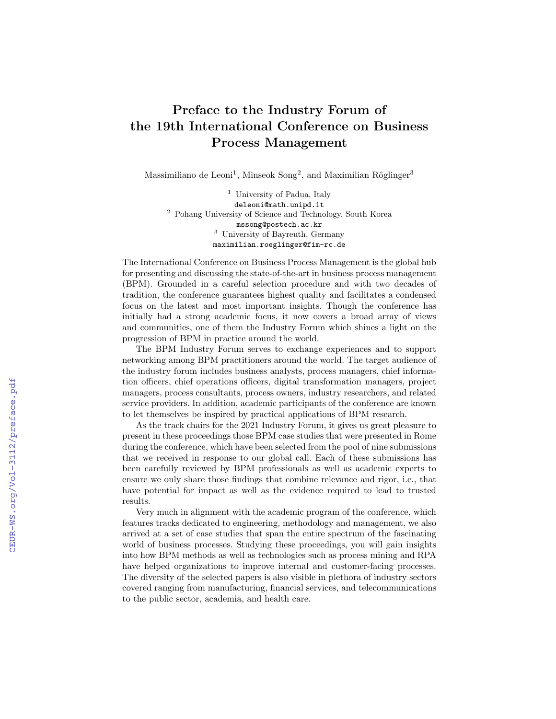## Preface to the Industry Forum of the 19th International Conference on Business Process Management

Massimiliano de Leoni<sup>1</sup>, Minseok Song<sup>2</sup>, and Maximilian Röglinger<sup>3</sup>

<sup>1</sup> University of Padua, Italy deleoni@math.unipd.it <sup>2</sup> Pohang University of Science and Technology, South Korea mssong@postech.ac.kr <sup>3</sup> University of Bayreuth, Germany maximilian.roeglinger@fim-rc.de

The International Conference on Business Process Management is the global hub for presenting and discussing the state-of-the-art in business process management (BPM). Grounded in a careful selection procedure and with two decades of tradition, the conference guarantees highest quality and facilitates a condensed focus on the latest and most important insights. Though the conference has initially had a strong academic focus, it now covers a broad array of views and communities, one of them the Industry Forum which shines a light on the progression of BPM in practice around the world.

The BPM Industry Forum serves to exchange experiences and to support networking among BPM practitioners around the world. The target audience of the industry forum includes business analysts, process managers, chief information officers, chief operations officers, digital transformation managers, project managers, process consultants, process owners, industry researchers, and related service providers. In addition, academic participants of the conference are known to let themselves be inspired by practical applications of BPM research.

As the track chairs for the 2021 Industry Forum, it gives us great pleasure to present in these proceedings those BPM case studies that were presented in Rome during the conference, which have been selected from the pool of nine submissions that we received in response to our global call. Each of these submissions has been carefully reviewed by BPM professionals as well as academic experts to ensure we only share those findings that combine relevance and rigor, i.e., that have potential for impact as well as the evidence required to lead to trusted results.

Very much in alignment with the academic program of the conference, which features tracks dedicated to engineering, methodology and management, we also arrived at a set of case studies that span the entire spectrum of the fascinating world of business processes. Studying these proceedings, you will gain insights into how BPM methods as well as technologies such as process mining and RPA have helped organizations to improve internal and customer-facing processes. The diversity of the selected papers is also visible in plethora of industry sectors covered ranging from manufacturing, financial services, and telecommunications to the public sector, academia, and health care.